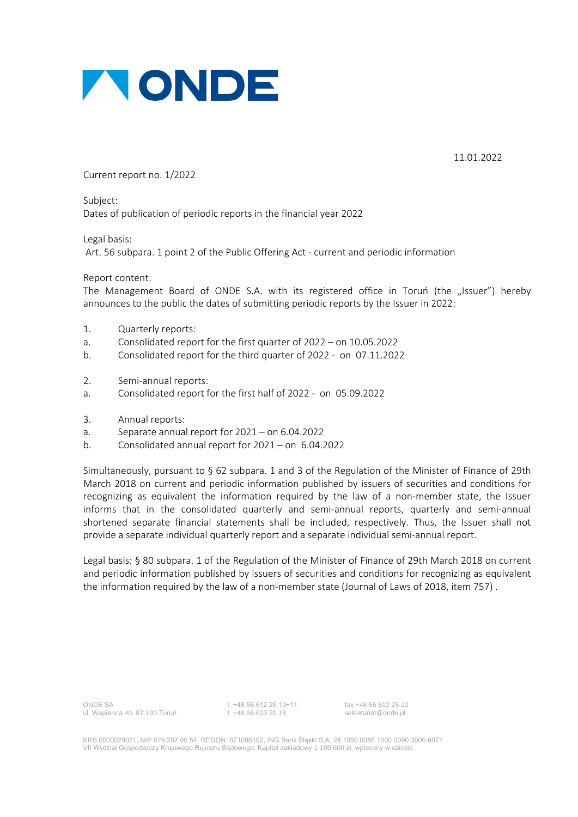

11.01.2022

Current report no. 1/2022

Subject: Dates of publication of periodic reports in the financial year 2022

Legal basis:

Art. 56 subpara. 1 point 2 of the Public Offering Act - current and periodic information

Report content:

The Management Board of ONDE S.A. with its registered office in Toruń (the "Issuer") hereby announces to the public the dates of submitting periodic reports by the Issuer in 2022:

- 1. Quarterly reports:
- a. Consolidated report for the first quarter of 2022 on 10.05.2022
- b. Consolidated report for the third quarter of 2022 on 07.11.2022
- 2. Semi-annual reports:
- a. Consolidated report for the first half of 2022 on 05.09.2022
- 3. Annual reports:
- a. Separate annual report for 2021 on 6.04.2022
- b. Consolidated annual report for 2021 on 6.04.2022

Simultaneously, pursuant to § 62 subpara. 1 and 3 of the Regulation of the Minister of Finance of 29th March 2018 on current and periodic information published by issuers of securities and conditions for recognizing as equivalent the information required by the law of a non-member state, the Issuer informs that in the consolidated quarterly and semi-annual reports, quarterly and semi-annual shortened separate financial statements shall be included, respectively. Thus, the Issuer shall not provide a separate individual quarterly report and a separate individual semi-annual report.

Legal basis: § 80 subpara. 1 of the Regulation of the Minister of Finance of 29th March 2018 on current and periodic information published by issuers of securities and conditions for recognizing as equivalent the information required by the law of a non-member state (Journal of Laws of 2018, item 757) .

KRS 0000028071, NIP 879 207 00 54, REGON: 871098102, ING Bank Śląski S.A. 24 1050 0086 1000 0090 3006 6071 VII Wydział Gospodarczy Krajowego Rejestru Sądowego, Kapitał zakładowy 1.100.600 zł, wpłacony w całości